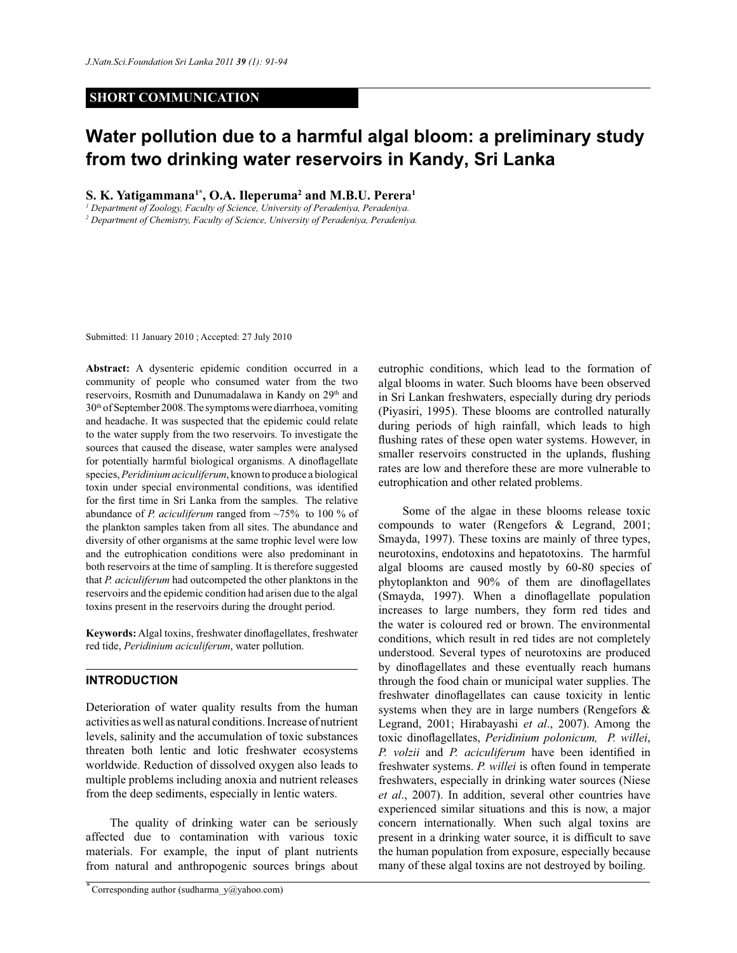# **SHORT COMMUNICATION**

# **Water pollution due to a harmful algal bloom: a preliminary study from two drinking water reservoirs in Kandy, Sri Lanka**

# **S. K. Yatigammana1\*, O.A. Ileperuma<sup>2</sup> and M.B.U. Perera<sup>1</sup>**

*1 Department of Zoology, Faculty of Science, University of Peradeniya, Peradeniya.*

*2 Department of Chemistry, Faculty of Science, University of Peradeniya, Peradeniya.*

Submitted: 11 January 2010 ; Accepted: 27 July 2010

**Abstract:** A dysenteric epidemic condition occurred in a community of people who consumed water from the two reservoirs, Rosmith and Dunumadalawa in Kandy on 29<sup>th</sup> and 30th of September 2008. The symptoms were diarrhoea, vomiting and headache. It was suspected that the epidemic could relate to the water supply from the two reservoirs. To investigate the sources that caused the disease, water samples were analysed for potentially harmful biological organisms. A dinoflagellate species, *Peridinium aciculiferum*, known to produce a biological toxin under special environmental conditions, was identified for the first time in Sri Lanka from the samples. The relative abundance of *P. aciculiferum* ranged from ~75% to 100 % of the plankton samples taken from all sites. The abundance and diversity of other organisms at the same trophic level were low and the eutrophication conditions were also predominant in both reservoirs at the time of sampling. It is therefore suggested that *P. aciculiferum* had outcompeted the other planktons in the reservoirs and the epidemic condition had arisen due to the algal toxins present in the reservoirs during the drought period.

**Keywords:** Algal toxins, freshwater dinoflagellates, freshwater red tide, *Peridinium aciculiferum*, water pollution.

## **INTRODUCTION**

Deterioration of water quality results from the human activities as well as natural conditions. Increase of nutrient levels, salinity and the accumulation of toxic substances threaten both lentic and lotic freshwater ecosystems worldwide. Reduction of dissolved oxygen also leads to multiple problems including anoxia and nutrient releases from the deep sediments, especially in lentic waters.

 The quality of drinking water can be seriously affected due to contamination with various toxic materials. For example, the input of plant nutrients from natural and anthropogenic sources brings about

eutrophic conditions, which lead to the formation of algal blooms in water. Such blooms have been observed in Sri Lankan freshwaters, especially during dry periods (Piyasiri, 1995). These blooms are controlled naturally during periods of high rainfall, which leads to high flushing rates of these open water systems. However, in smaller reservoirs constructed in the uplands, flushing rates are low and therefore these are more vulnerable to eutrophication and other related problems.

 Some of the algae in these blooms release toxic compounds to water (Rengefors & Legrand, 2001; Smayda, 1997). These toxins are mainly of three types, neurotoxins, endotoxins and hepatotoxins. The harmful algal blooms are caused mostly by 60-80 species of phytoplankton and 90% of them are dinoflagellates (Smayda, 1997). When a dinoflagellate population increases to large numbers, they form red tides and the water is coloured red or brown. The environmental conditions, which result in red tides are not completely understood. Several types of neurotoxins are produced by dinoflagellates and these eventually reach humans through the food chain or municipal water supplies. The freshwater dinoflagellates can cause toxicity in lentic systems when they are in large numbers (Rengefors & Legrand, 2001; Hirabayashi *et al*., 2007). Among the toxic dinoflagellates, *Peridinium polonicum, P. willei*, *P. volzii* and *P. aciculiferum* have been identified in freshwater systems. *P. willei* is often found in temperate freshwaters, especially in drinking water sources (Niese *et al*., 2007). In addition, several other countries have experienced similar situations and this is now, a major concern internationally. When such algal toxins are present in a drinking water source, it is difficult to save the human population from exposure, especially because many of these algal toxins are not destroyed by boiling.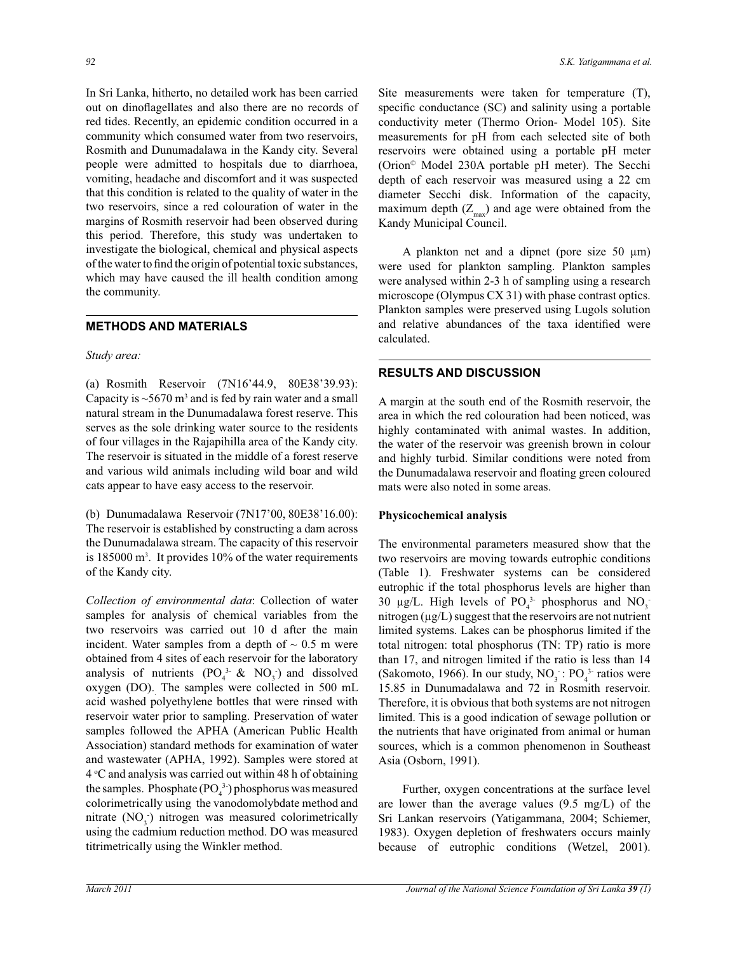In Sri Lanka, hitherto, no detailed work has been carried out on dinoflagellates and also there are no records of red tides. Recently, an epidemic condition occurred in a community which consumed water from two reservoirs, Rosmith and Dunumadalawa in the Kandy city. Several people were admitted to hospitals due to diarrhoea, vomiting, headache and discomfort and it was suspected that this condition is related to the quality of water in the two reservoirs, since a red colouration of water in the margins of Rosmith reservoir had been observed during this period. Therefore, this study was undertaken to investigate the biological, chemical and physical aspects of the water to find the origin of potential toxic substances, which may have caused the ill health condition among the community.

## **METHODS AND MATERIALS**

#### *Study area:*

(a) Rosmith Reservoir (7N16'44.9, 80E38'39.93): Capacity is  $\sim$  5670 m<sup>3</sup> and is fed by rain water and a small natural stream in the Dunumadalawa forest reserve. This serves as the sole drinking water source to the residents of four villages in the Rajapihilla area of the Kandy city. The reservoir is situated in the middle of a forest reserve and various wild animals including wild boar and wild cats appear to have easy access to the reservoir.

(b) Dunumadalawa Reservoir (7N17'00, 80E38'16.00): The reservoir is established by constructing a dam across the Dunumadalawa stream. The capacity of this reservoir is  $185000 \text{ m}^3$ . It provides  $10\%$  of the water requirements of the Kandy city.

*Collection of environmental data*: Collection of water samples for analysis of chemical variables from the two reservoirs was carried out 10 d after the main incident. Water samples from a depth of  $\sim 0.5$  m were obtained from 4 sites of each reservoir for the laboratory analysis of nutrients  $(PO_4^3 \& NO_3)$  and dissolved oxygen (DO). . The samples were collected in 500 mL acid washed polyethylene bottles that were rinsed with reservoir water prior to sampling. Preservation of water samples followed the APHA (American Public Health Association) standard methods for examination of water and wastewater (APHA, 1992). Samples were stored at  $4^{\circ}$ C and analysis was carried out within 48 h of obtaining the samples. Phosphate  $(PO<sub>4</sub><sup>3</sup>)$  phosphorus was measured colorimetrically using the vanodomolybdate method and nitrate  $(NO_3)$  nitrogen was measured colorimetrically using the cadmium reduction method. DO was measured titrimetrically using the Winkler method.

Site measurements were taken for temperature (T), specific conductance (SC) and salinity using a portable conductivity meter (Thermo Orion- Model 105). Site measurements for pH from each selected site of both reservoirs were obtained using a portable pH meter (Orion© Model 230A portable pH meter). The Secchi depth of each reservoir was measured using a 22 cm diameter Secchi disk. Information of the capacity, maximum depth  $(Z_{\text{max}})$  and age were obtained from the Kandy Municipal Council.

A plankton net and a dipnet (pore size 50  $\mu$ m) were used for plankton sampling. Plankton samples were analysed within 2-3 h of sampling using a research microscope (Olympus CX 31) with phase contrast optics. Plankton samples were preserved using Lugols solution and relative abundances of the taxa identified were calculated.

# **RESULTS AND DISCUSSION**

A margin at the south end of the Rosmith reservoir, the area in which the red colouration had been noticed, was highly contaminated with animal wastes. In addition, the water of the reservoir was greenish brown in colour and highly turbid. Similar conditions were noted from the Dunumadalawa reservoir and floating green coloured mats were also noted in some areas.

#### **Physicochemical analysis**

The environmental parameters measured show that the two reservoirs are moving towards eutrophic conditions (Table 1). Freshwater systems can be considered eutrophic if the total phosphorus levels are higher than 30  $\mu$ g/L. High levels of PO<sub>4</sub><sup>3</sup> phosphorus and NO<sub>3</sub><sup>-</sup> nitrogen (µg/L) suggest that the reservoirs are not nutrient limited systems. Lakes can be phosphorus limited if the total nitrogen: total phosphorus (TN: TP) ratio is more than 17, and nitrogen limited if the ratio is less than 14 (Sakomoto, 1966). In our study,  $NO<sub>3</sub>$ : PO<sub>4</sub><sup>3</sup> ratios were 15.85 in Dunumadalawa and 72 in Rosmith reservoir. Therefore, it is obvious that both systems are not nitrogen limited. This is a good indication of sewage pollution or the nutrients that have originated from animal or human sources, which is a common phenomenon in Southeast Asia (Osborn, 1991).

 Further, oxygen concentrations at the surface level are lower than the average values (9.5 mg/L) of the Sri Lankan reservoirs (Yatigammana, 2004; Schiemer, 1983). Oxygen depletion of freshwaters occurs mainly because of eutrophic conditions (Wetzel, 2001).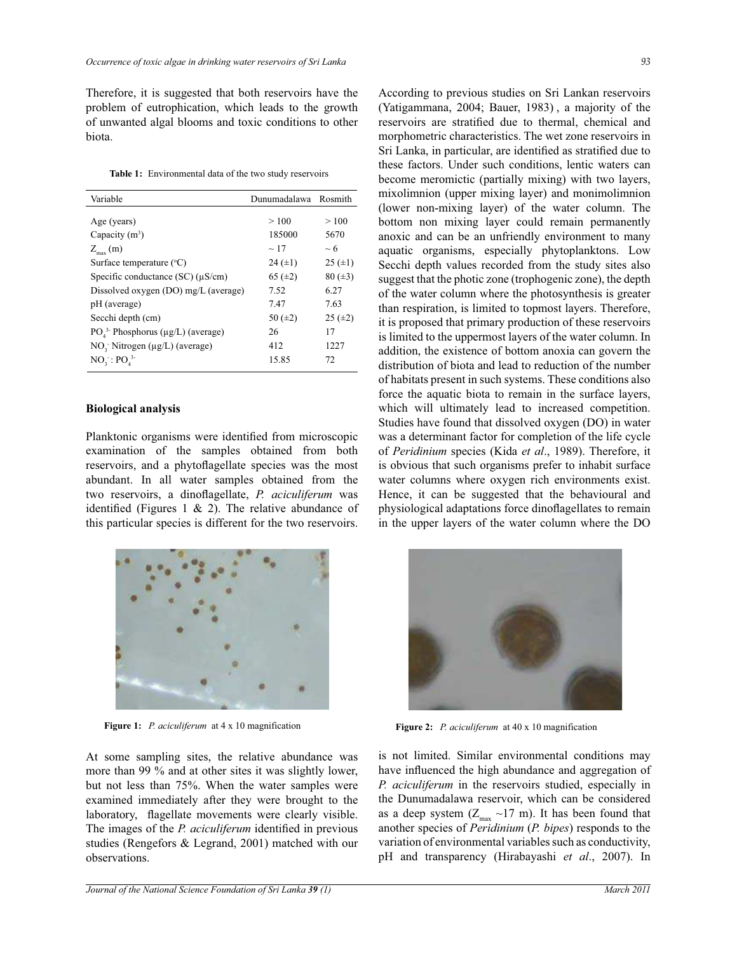Therefore, it is suggested that both reservoirs have the problem of eutrophication, which leads to the growth of unwanted algal blooms and toxic conditions to other biota.

|  | <b>Table 1:</b> Environmental data of the two study reservoirs |  |  |  |
|--|----------------------------------------------------------------|--|--|--|
|--|----------------------------------------------------------------|--|--|--|

| Variable                                   | Dunumadalawa Rosmith |              |
|--------------------------------------------|----------------------|--------------|
|                                            |                      |              |
| Age (years)                                | >100                 | >100         |
| Capacity $(m^3)$                           | 185000               | 5670         |
| $Z_{\text{max}}$ (m)                       | $\sim$ 17            | $~\sim 6$    |
| Surface temperature $(°C)$                 | $24 (\pm 1)$         | $25 (\pm 1)$ |
| Specific conductance $SC$ ) ( $\mu$ S/cm)  | 65 $(\pm 2)$         | $80 (\pm 3)$ |
| Dissolved oxygen (DO) mg/L (average)       | 7.52                 | 6.27         |
| pH (average)                               | 7.47                 | 7.63         |
| Secchi depth (cm)                          | 50 $(\pm 2)$         | $25 (\pm 2)$ |
| $PO43$ - Phosphorus ( $\mu$ g/L) (average) | 26                   | 17           |
| $NOi$ Nitrogen ( $\mu$ g/L) (average)      | 412                  | 1227         |
| $NOs: POs3$                                | 15.85                | 72.          |

#### **Biological analysis**

Planktonic organisms were identified from microscopic examination of the samples obtained from both reservoirs, and a phytoflagellate species was the most abundant. In all water samples obtained from the two reservoirs, a dinoflagellate, *P. aciculiferum* was identified (Figures 1  $\&$  2). The relative abundance of this particular species is different for the two reservoirs.



**Figure 1:** *P. aciculiferum* at 4 x 10 magnification

At some sampling sites, the relative abundance was more than 99 % and at other sites it was slightly lower, but not less than 75%. When the water samples were examined immediately after they were brought to the laboratory, flagellate movements were clearly visible. The images of the *P. aciculiferum* identified in previous studies (Rengefors & Legrand, 2001) matched with our observations.

According to previous studies on Sri Lankan reservoirs (Yatigammana, 2004; Bauer, 1983) , a majority of the reservoirs are stratified due to thermal, chemical and morphometric characteristics. The wet zone reservoirs in Sri Lanka, in particular, are identified as stratified due to these factors. Under such conditions, lentic waters can become meromictic (partially mixing) with two layers, mixolimnion (upper mixing layer) and monimolimnion (lower non-mixing layer) of the water column. The bottom non mixing layer could remain permanently anoxic and can be an unfriendly environment to many aquatic organisms, especially phytoplanktons. Low Secchi depth values recorded from the study sites also suggest that the photic zone (trophogenic zone), the depth of the water column where the photosynthesis is greater than respiration, is limited to topmost layers. Therefore, it is proposed that primary production of these reservoirs is limited to the uppermost layers of the water column. In addition, the existence of bottom anoxia can govern the distribution of biota and lead to reduction of the number of habitats present in such systems. These conditions also force the aquatic biota to remain in the surface layers, which will ultimately lead to increased competition. Studies have found that dissolved oxygen (DO) in water was a determinant factor for completion of the life cycle of *Peridinium* species (Kida *et al*., 1989). Therefore, it is obvious that such organisms prefer to inhabit surface water columns where oxygen rich environments exist. Hence, it can be suggested that the behavioural and physiological adaptations force dinoflagellates to remain in the upper layers of the water column where the DO



**Figure 2:** *P. aciculiferum* at 40 x 10 magnification

is not limited. Similar environmental conditions may have influenced the high abundance and aggregation of *P. aciculiferum* in the reservoirs studied, especially in the Dunumadalawa reservoir, which can be considered as a deep system  $(Z_{\text{max}} \sim 17 \text{ m})$ . It has been found that another species of *Peridinium* (*P. bipes*) responds to the variation of environmental variables such as conductivity, pH and transparency (Hirabayashi *et al*., 2007). In